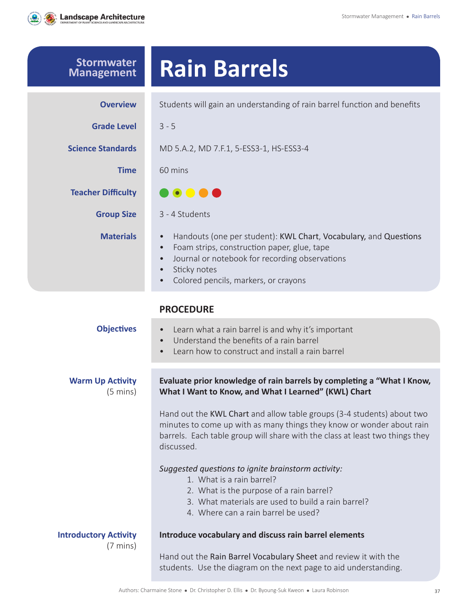

| <b>Stormwater</b><br><b>Management</b>             | <b>Rain Barrels</b>                                                                                                                                                                                                                                                           |  |
|----------------------------------------------------|-------------------------------------------------------------------------------------------------------------------------------------------------------------------------------------------------------------------------------------------------------------------------------|--|
| <b>Overview</b>                                    | Students will gain an understanding of rain barrel function and benefits                                                                                                                                                                                                      |  |
| <b>Grade Level</b>                                 | $3 - 5$                                                                                                                                                                                                                                                                       |  |
| <b>Science Standards</b>                           | MD 5.A.2, MD 7.F.1, 5-ESS3-1, HS-ESS3-4                                                                                                                                                                                                                                       |  |
| <b>Time</b>                                        | 60 mins                                                                                                                                                                                                                                                                       |  |
| <b>Teacher Difficulty</b>                          | <b>.</b>                                                                                                                                                                                                                                                                      |  |
| <b>Group Size</b>                                  | 3 - 4 Students                                                                                                                                                                                                                                                                |  |
| <b>Materials</b>                                   | Handouts (one per student): KWL Chart, Vocabulary, and Questions<br>$\bullet$<br>Foam strips, construction paper, glue, tape<br>$\bullet$<br>Journal or notebook for recording observations<br>Sticky notes<br>$\bullet$<br>Colored pencils, markers, or crayons<br>$\bullet$ |  |
|                                                    | <b>PROCEDURE</b>                                                                                                                                                                                                                                                              |  |
| <b>Objectives</b>                                  | Learn what a rain barrel is and why it's important<br>$\bullet$<br>Understand the benefits of a rain barrel<br>$\bullet$<br>Learn how to construct and install a rain barrel<br>$\bullet$                                                                                     |  |
| <b>Warm Up Activity</b><br>(5 mins)                | Evaluate prior knowledge of rain barrels by completing a "What I Know,<br>What I Want to Know, and What I Learned" (KWL) Chart                                                                                                                                                |  |
|                                                    | Hand out the KWL Chart and allow table groups (3-4 students) about two<br>minutes to come up with as many things they know or wonder about rain<br>barrels. Each table group will share with the class at least two things they<br>discussed.                                 |  |
|                                                    | Suggested questions to ignite brainstorm activity:<br>1. What is a rain barrel?<br>2. What is the purpose of a rain barrel?<br>3. What materials are used to build a rain barrel?<br>4. Where can a rain barrel be used?                                                      |  |
| <b>Introductory Activity</b><br>$(7 \text{ mins})$ | Introduce vocabulary and discuss rain barrel elements<br>Hand out the Rain Barrel Vocabulary Sheet and review it with the<br>students. Use the diagram on the next page to aid understanding.                                                                                 |  |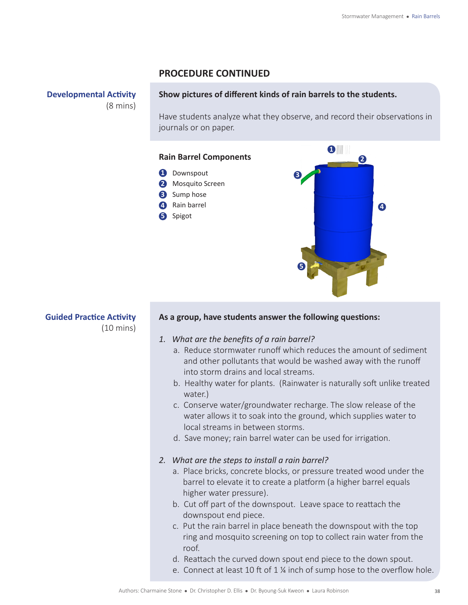### **PROCEDURE CONTINUED**

**Developmental Activity** (8 mins)

#### **Show pictures of different kinds of rain barrels to the students.**

Have students analyze what they observe, and record their observations in journals or on paper.



**Guided Practice Activity** (10 mins)

#### **As a group, have students answer the following questions:**

#### *1. What are the benefits of a rain barrel?*

- a. Reduce stormwater runoff which reduces the amount of sediment and other pollutants that would be washed away with the runoff into storm drains and local streams.
- b. Healthy water for plants. (Rainwater is naturally soft unlike treated water.)
- c. Conserve water/groundwater recharge. The slow release of the water allows it to soak into the ground, which supplies water to local streams in between storms.
- d. Save money; rain barrel water can be used for irrigation.
- *2. What are the steps to install a rain barrel?*
	- a. Place bricks, concrete blocks, or pressure treated wood under the barrel to elevate it to create a platform (a higher barrel equals higher water pressure).
	- b. Cut off part of the downspout. Leave space to reattach the downspout end piece.
	- c. Put the rain barrel in place beneath the downspout with the top ring and mosquito screening on top to collect rain water from the roof.
	- d. Reattach the curved down spout end piece to the down spout.
	- e. Connect at least 10 ft of 1 ¼ inch of sump hose to the overflow hole.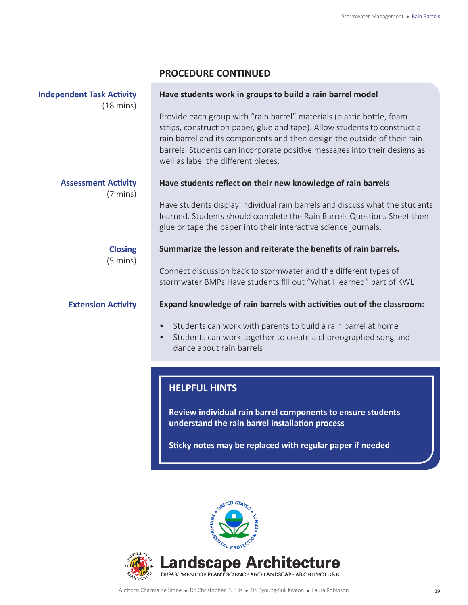## **PROCEDURE CONTINUED**

| <b>Independent Task Activity</b><br>$(18 \text{ mins})$ | Have students work in groups to build a rain barrel model                                                                                                                                                                                                                                                                                          |  |
|---------------------------------------------------------|----------------------------------------------------------------------------------------------------------------------------------------------------------------------------------------------------------------------------------------------------------------------------------------------------------------------------------------------------|--|
|                                                         | Provide each group with "rain barrel" materials (plastic bottle, foam<br>strips, construction paper, glue and tape). Allow students to construct a<br>rain barrel and its components and then design the outside of their rain<br>barrels. Students can incorporate positive messages into their designs as<br>well as label the different pieces. |  |
| <b>Assessment Activity</b><br>$(7 \text{ mins})$        | Have students reflect on their new knowledge of rain barrels                                                                                                                                                                                                                                                                                       |  |
|                                                         | Have students display individual rain barrels and discuss what the students<br>learned. Students should complete the Rain Barrels Questions Sheet then<br>glue or tape the paper into their interactive science journals.                                                                                                                          |  |
| <b>Closing</b><br>$(5 \text{ mins})$                    | Summarize the lesson and reiterate the benefits of rain barrels.                                                                                                                                                                                                                                                                                   |  |
|                                                         | Connect discussion back to stormwater and the different types of<br>stormwater BMPs. Have students fill out "What I learned" part of KWL                                                                                                                                                                                                           |  |
| <b>Extension Activity</b>                               | Expand knowledge of rain barrels with activities out of the classroom:                                                                                                                                                                                                                                                                             |  |
|                                                         | Students can work with parents to build a rain barrel at home<br>$\bullet$<br>Students can work together to create a choreographed song and<br>$\bullet$<br>dance about rain barrels                                                                                                                                                               |  |
|                                                         | <b>HELPFUL HINTS</b>                                                                                                                                                                                                                                                                                                                               |  |

## **Review individual rain barrel components to ensure students understand the rain barrel installation process**

**Sticky notes may be replaced with regular paper if needed**

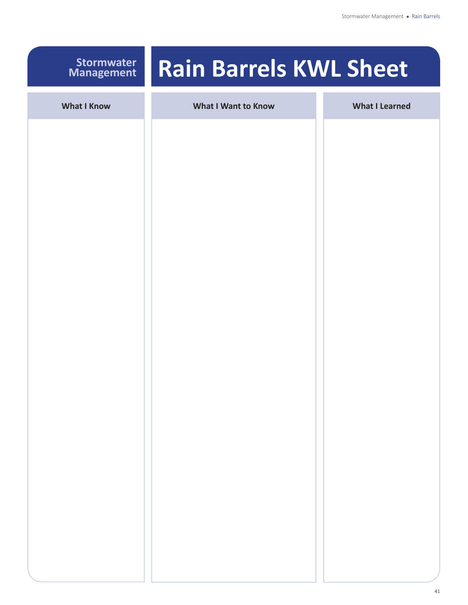## **Stormwater Management**

# **Rain Barrels KWL Sheet**

| <b>What I Know</b> | <b>What I Want to Know</b> | <b>What I Learned</b> |
|--------------------|----------------------------|-----------------------|
|                    |                            |                       |
|                    |                            |                       |
|                    |                            |                       |
|                    |                            |                       |
|                    |                            |                       |
|                    |                            |                       |
|                    |                            |                       |
|                    |                            |                       |
|                    |                            |                       |
|                    |                            |                       |
|                    |                            |                       |
|                    |                            |                       |
|                    |                            |                       |
|                    |                            |                       |
|                    |                            |                       |
|                    |                            |                       |
|                    |                            |                       |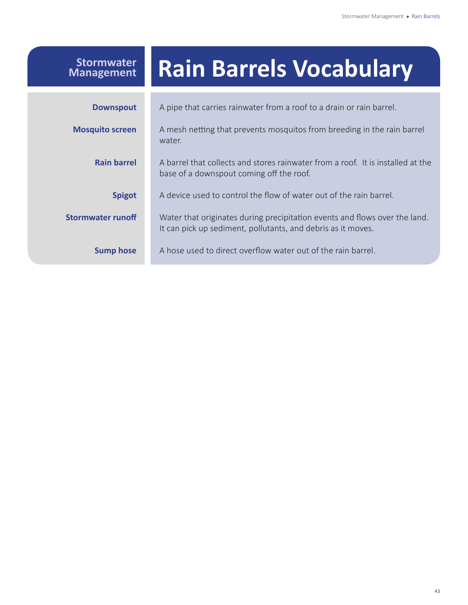## **Rain Barrels Vocabulary** A pipe that carries rainwater from a roof to a drain or rain barrel. A mesh netting that prevents mosquitos from breeding in the rain barrel water. A barrel that collects and stores rainwater from a roof. It is installed at the base of a downspout coming off the roof. A device used to control the flow of water out of the rain barrel. Water that originates during precipitation events and flows over the land. It can pick up sediment, pollutants, and debris as it moves. A hose used to direct overflow water out of the rain barrel. **Downspout Mosquito screen Rain barrel Spigot Stormwater runoff Sump hose Stormwater Management**